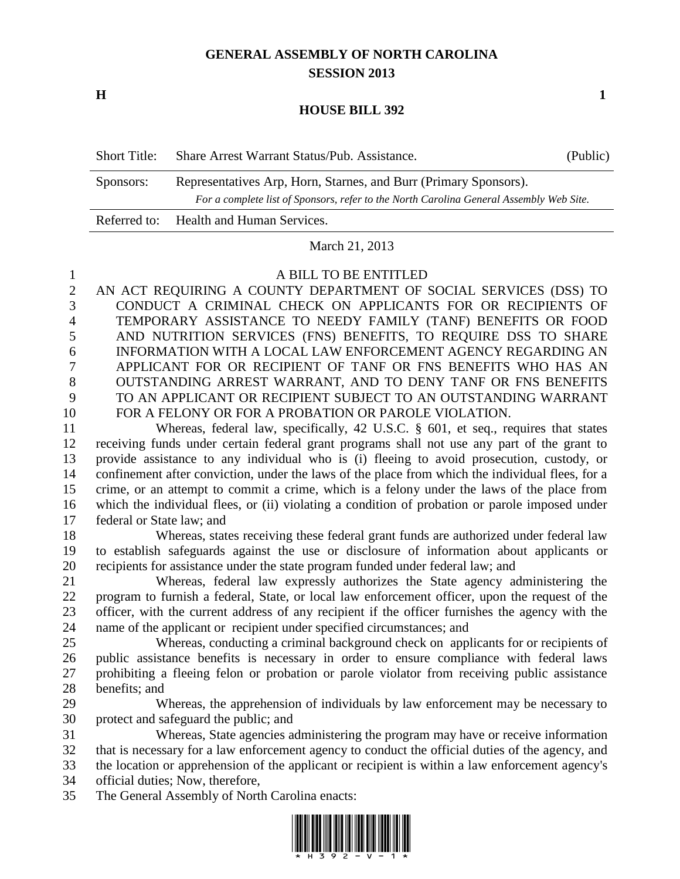## **GENERAL ASSEMBLY OF NORTH CAROLINA SESSION 2013**

**H 1**

## **HOUSE BILL 392**

| Short Title: | Share Arrest Warrant Status/Pub. Assistance.                                            | (Public) |
|--------------|-----------------------------------------------------------------------------------------|----------|
| Sponsors:    | Representatives Arp, Horn, Starnes, and Burr (Primary Sponsors).                        |          |
|              | For a complete list of Sponsors, refer to the North Carolina General Assembly Web Site. |          |
|              | Referred to: Health and Human Services.                                                 |          |

## March 21, 2013

## A BILL TO BE ENTITLED

 AN ACT REQUIRING A COUNTY DEPARTMENT OF SOCIAL SERVICES (DSS) TO CONDUCT A CRIMINAL CHECK ON APPLICANTS FOR OR RECIPIENTS OF TEMPORARY ASSISTANCE TO NEEDY FAMILY (TANF) BENEFITS OR FOOD AND NUTRITION SERVICES (FNS) BENEFITS, TO REQUIRE DSS TO SHARE INFORMATION WITH A LOCAL LAW ENFORCEMENT AGENCY REGARDING AN APPLICANT FOR OR RECIPIENT OF TANF OR FNS BENEFITS WHO HAS AN OUTSTANDING ARREST WARRANT, AND TO DENY TANF OR FNS BENEFITS TO AN APPLICANT OR RECIPIENT SUBJECT TO AN OUTSTANDING WARRANT FOR A FELONY OR FOR A PROBATION OR PAROLE VIOLATION.

 Whereas, federal law, specifically, 42 U.S.C. § 601, et seq., requires that states receiving funds under certain federal grant programs shall not use any part of the grant to provide assistance to any individual who is (i) fleeing to avoid prosecution, custody, or confinement after conviction, under the laws of the place from which the individual flees, for a crime, or an attempt to commit a crime, which is a felony under the laws of the place from which the individual flees, or (ii) violating a condition of probation or parole imposed under federal or State law; and

 Whereas, states receiving these federal grant funds are authorized under federal law to establish safeguards against the use or disclosure of information about applicants or recipients for assistance under the state program funded under federal law; and

 Whereas, federal law expressly authorizes the State agency administering the program to furnish a federal, State, or local law enforcement officer, upon the request of the officer, with the current address of any recipient if the officer furnishes the agency with the name of the applicant or recipient under specified circumstances; and

 Whereas, conducting a criminal background check on applicants for or recipients of public assistance benefits is necessary in order to ensure compliance with federal laws prohibiting a fleeing felon or probation or parole violator from receiving public assistance benefits; and

 Whereas, the apprehension of individuals by law enforcement may be necessary to protect and safeguard the public; and

 Whereas, State agencies administering the program may have or receive information that is necessary for a law enforcement agency to conduct the official duties of the agency, and

the location or apprehension of the applicant or recipient is within a law enforcement agency's

official duties; Now, therefore,

The General Assembly of North Carolina enacts:

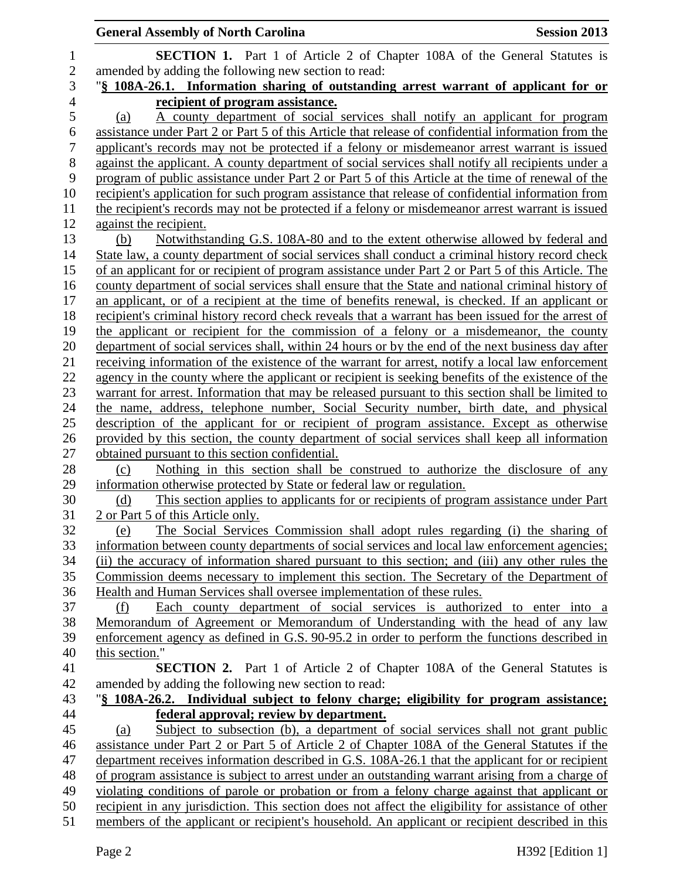|                  | <b>General Assembly of North Carolina</b><br><b>Session 2013</b>                                                                                                                                      |
|------------------|-------------------------------------------------------------------------------------------------------------------------------------------------------------------------------------------------------|
| $\mathbf 1$      | <b>SECTION 1.</b> Part 1 of Article 2 of Chapter 108A of the General Statutes is                                                                                                                      |
| $\overline{2}$   | amended by adding the following new section to read:                                                                                                                                                  |
| 3                | "§ 108A-26.1. Information sharing of outstanding arrest warrant of applicant for or                                                                                                                   |
| $\overline{4}$   | recipient of program assistance.                                                                                                                                                                      |
| 5                | A county department of social services shall notify an applicant for program<br>(a)                                                                                                                   |
| $\boldsymbol{6}$ | assistance under Part 2 or Part 5 of this Article that release of confidential information from the                                                                                                   |
| $\tau$           | applicant's records may not be protected if a felony or misdemeanor arrest warrant is issued                                                                                                          |
| $8\,$            | against the applicant. A county department of social services shall notify all recipients under a                                                                                                     |
| 9                | program of public assistance under Part 2 or Part 5 of this Article at the time of renewal of the                                                                                                     |
| 10               | recipient's application for such program assistance that release of confidential information from                                                                                                     |
| 11               | the recipient's records may not be protected if a felony or misdemeanor arrest warrant is issued                                                                                                      |
| 12               | against the recipient.                                                                                                                                                                                |
| 13               | Notwithstanding G.S. 108A-80 and to the extent otherwise allowed by federal and<br>(b)                                                                                                                |
| 14               | State law, a county department of social services shall conduct a criminal history record check                                                                                                       |
| 15               | of an applicant for or recipient of program assistance under Part 2 or Part 5 of this Article. The                                                                                                    |
| 16               | county department of social services shall ensure that the State and national criminal history of                                                                                                     |
| 17               | an applicant, or of a recipient at the time of benefits renewal, is checked. If an applicant or                                                                                                       |
| 18               | recipient's criminal history record check reveals that a warrant has been issued for the arrest of                                                                                                    |
| 19               | the applicant or recipient for the commission of a felony or a misdemeanor, the county                                                                                                                |
| 20               | department of social services shall, within 24 hours or by the end of the next business day after                                                                                                     |
| 21               | receiving information of the existence of the warrant for arrest, notify a local law enforcement<br>agency in the county where the applicant or recipient is seeking benefits of the existence of the |
| 22<br>23         | warrant for arrest. Information that may be released pursuant to this section shall be limited to                                                                                                     |
| 24               | the name, address, telephone number, Social Security number, birth date, and physical                                                                                                                 |
| 25               | description of the applicant for or recipient of program assistance. Except as otherwise                                                                                                              |
| 26               | provided by this section, the county department of social services shall keep all information                                                                                                         |
| 27               | obtained pursuant to this section confidential.                                                                                                                                                       |
| 28               | Nothing in this section shall be construed to authorize the disclosure of any<br>(c)                                                                                                                  |
| 29               | information otherwise protected by State or federal law or regulation.                                                                                                                                |
| 30               | This section applies to applicants for or recipients of program assistance under Part<br>(d)                                                                                                          |
| 31               | 2 or Part 5 of this Article only.                                                                                                                                                                     |
| 32               | The Social Services Commission shall adopt rules regarding (i) the sharing of<br>(e)                                                                                                                  |
| 33               | information between county departments of social services and local law enforcement agencies;                                                                                                         |
| 34               | (ii) the accuracy of information shared pursuant to this section; and (iii) any other rules the                                                                                                       |
| 35               | Commission deems necessary to implement this section. The Secretary of the Department of                                                                                                              |
| 36               | Health and Human Services shall oversee implementation of these rules.                                                                                                                                |
| 37               | Each county department of social services is authorized to enter into a<br>(f)                                                                                                                        |
| 38               | Memorandum of Agreement or Memorandum of Understanding with the head of any law                                                                                                                       |
| 39               | enforcement agency as defined in G.S. 90-95.2 in order to perform the functions described in                                                                                                          |
| 40               | this section."                                                                                                                                                                                        |
| 41               | <b>SECTION 2.</b> Part 1 of Article 2 of Chapter 108A of the General Statutes is                                                                                                                      |
| 42               | amended by adding the following new section to read:                                                                                                                                                  |
| 43               | "\\$ 108A-26.2. Individual subject to felony charge; eligibility for program assistance;                                                                                                              |
| 44               | <u>federal approval; review by department.</u>                                                                                                                                                        |
| 45<br>46         | Subject to subsection (b), a department of social services shall not grant public<br>(a)                                                                                                              |
| 47               | assistance under Part 2 or Part 5 of Article 2 of Chapter 108A of the General Statutes if the<br>department receives information described in G.S. 108A-26.1 that the applicant for or recipient      |
| 48               | of program assistance is subject to arrest under an outstanding warrant arising from a charge of                                                                                                      |
| 49               | violating conditions of parole or probation or from a felony charge against that applicant or                                                                                                         |
| 50               | recipient in any jurisdiction. This section does not affect the eligibility for assistance of other                                                                                                   |
| 51               | members of the applicant or recipient's household. An applicant or recipient described in this                                                                                                        |